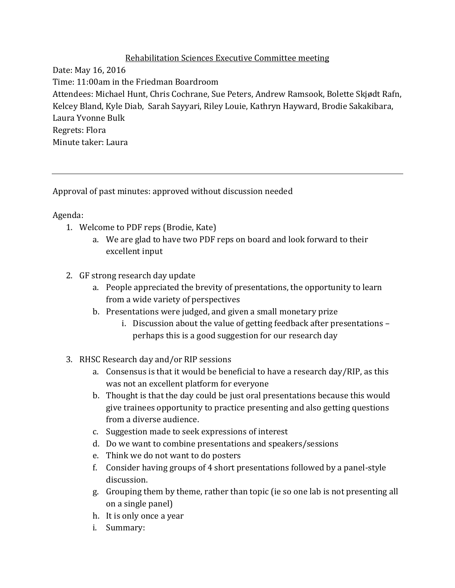## Rehabilitation Sciences Executive Committee meeting

Date: May 16, 2016 Time: 11:00am in the Friedman Boardroom Attendees: Michael Hunt, Chris Cochrane, Sue Peters, Andrew Ramsook, Bolette Skjødt Rafn, Kelcey Bland, Kyle Diab, Sarah Sayyari, Riley Louie, Kathryn Hayward, Brodie Sakakibara, Laura Yvonne Bulk Regrets: Flora Minute taker: Laura

Approval of past minutes: approved without discussion needed

## Agenda:

- 1. Welcome to PDF reps (Brodie, Kate)
	- a. We are glad to have two PDF reps on board and look forward to their excellent input
- 2. GF strong research day update
	- a. People appreciated the brevity of presentations, the opportunity to learn from a wide variety of perspectives
	- b. Presentations were judged, and given a small monetary prize
		- i. Discussion about the value of getting feedback after presentations perhaps this is a good suggestion for our research day
- 3. RHSC Research day and/or RIP sessions
	- a. Consensus is that it would be beneficial to have a research day/RIP, as this was not an excellent platform for everyone
	- b. Thought is that the day could be just oral presentations because this would give trainees opportunity to practice presenting and also getting questions from a diverse audience.
	- c. Suggestion made to seek expressions of interest
	- d. Do we want to combine presentations and speakers/sessions
	- e. Think we do not want to do posters
	- f. Consider having groups of 4 short presentations followed by a panel-style discussion.
	- g. Grouping them by theme, rather than topic (ie so one lab is not presenting all on a single panel)
	- h. It is only once a year
	- i. Summary: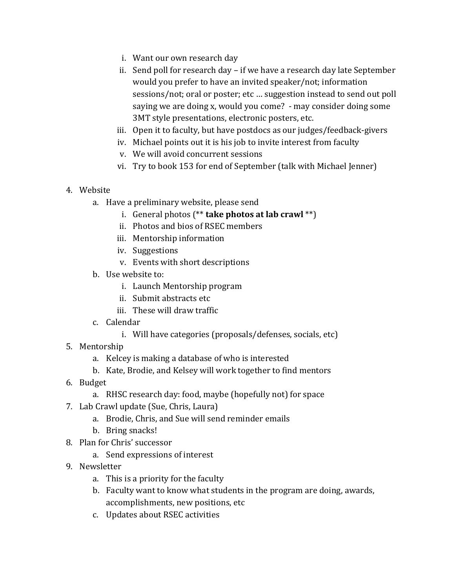- i. Want our own research day
- ii. Send poll for research day if we have a research day late September would you prefer to have an invited speaker/not; information sessions/not; oral or poster; etc … suggestion instead to send out poll saying we are doing x, would you come? - may consider doing some 3MT style presentations, electronic posters, etc.
- iii. Open it to faculty, but have postdocs as our judges/feedback-givers
- iv. Michael points out it is his job to invite interest from faculty
- v. We will avoid concurrent sessions
- vi. Try to book 153 for end of September (talk with Michael Jenner)
- 4. Website
	- a. Have a preliminary website, please send
		- i. General photos (\*\* **take photos at lab crawl** \*\*)
		- ii. Photos and bios of RSEC members
		- iii. Mentorship information
		- iv. Suggestions
		- v. Events with short descriptions
	- b. Use website to:
		- i. Launch Mentorship program
		- ii. Submit abstracts etc
		- iii. These will draw traffic
	- c. Calendar
		- i. Will have categories (proposals/defenses, socials, etc)
- 5. Mentorship
	- a. Kelcey is making a database of who is interested
	- b. Kate, Brodie, and Kelsey will work together to find mentors
- 6. Budget
	- a. RHSC research day: food, maybe (hopefully not) for space
- 7. Lab Crawl update (Sue, Chris, Laura)
	- a. Brodie, Chris, and Sue will send reminder emails
	- b. Bring snacks!
- 8. Plan for Chris' successor
	- a. Send expressions of interest
- 9. Newsletter
	- a. This is a priority for the faculty
	- b. Faculty want to know what students in the program are doing, awards, accomplishments, new positions, etc
	- c. Updates about RSEC activities